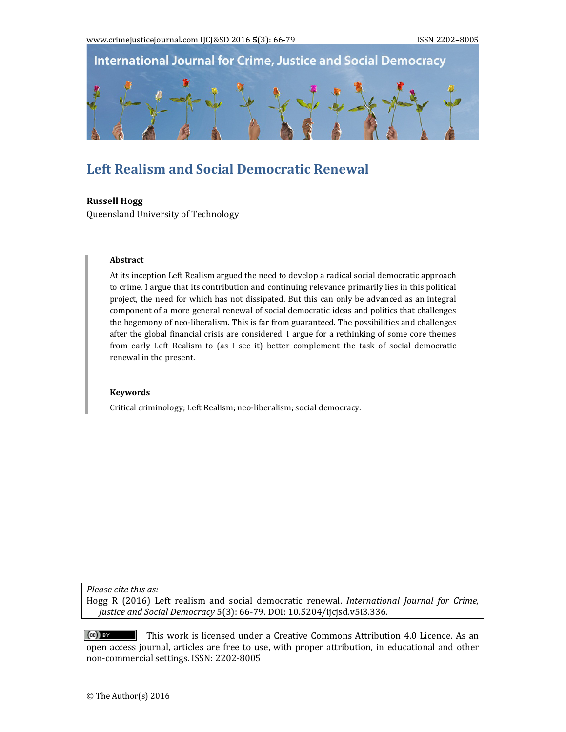

# **Left Realism and Social Democratic Renewal**

## **Russell Hogg**

Queensland University of Technology

## **Abstract**

At its inception Left Realism argued the need to develop a radical social democratic approach to crime. I argue that its contribution and continuing relevance primarily lies in this political project, the need for which has not dissipated. But this can only be advanced as an integral component of a more general renewal of social democratic ideas and politics that challenges the hegemony of neo-liberalism. This is far from guaranteed. The possibilities and challenges after the global financial crisis are considered. I argue for a rethinking of some core themes from early Left Realism to (as I see it) better complement the task of social democratic renewal in the present.

#### **Keywords**

Critical criminology; Left Realism; neo-liberalism; social democracy.

*Please cite this as:*

Hogg R (2016) Left realism and social democratic renewal. *International Journal for Crime, Justice and Social Democracy* 5(3): 66‐79. DOI: 10.5204/ijcjsd.v5i3.336. 

 $(cc)$  BY This work is licensed under a Creative Commons Attribution 4.0 Licence. As an open access journal, articles are free to use, with proper attribution, in educational and other non-commercial settings. ISSN: 2202-8005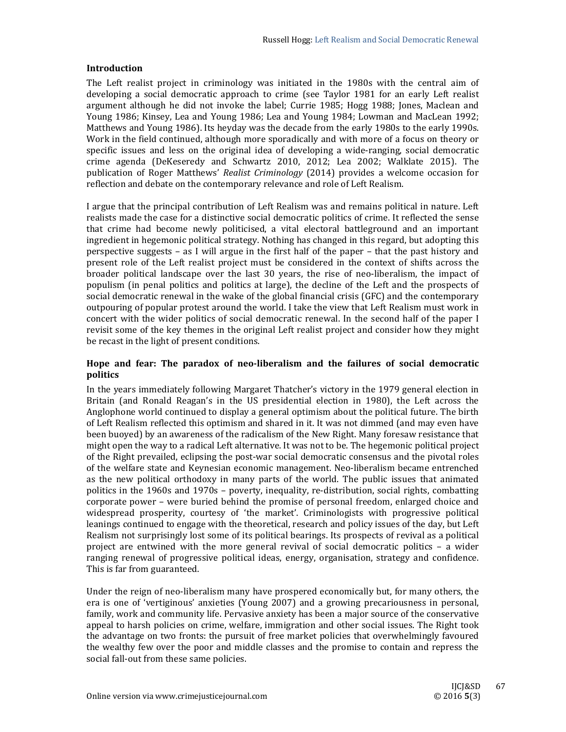## **Introduction**

The Left realist project in criminology was initiated in the 1980s with the central aim of developing a social democratic approach to crime (see Taylor 1981 for an early Left realist argument although he did not invoke the label; Currie 1985; Hogg 1988; Jones, Maclean and Young 1986; Kinsey, Lea and Young 1986; Lea and Young 1984; Lowman and MacLean 1992; Matthews and Young 1986). Its heyday was the decade from the early 1980s to the early 1990s. Work in the field continued, although more sporadically and with more of a focus on theory or specific issues and less on the original idea of developing a wide-ranging, social democratic crime agenda (DeKeseredy and Schwartz 2010, 2012; Lea 2002; Walklate 2015). The publication of Roger Matthews' *Realist Criminology* (2014) provides a welcome occasion for reflection and debate on the contemporary relevance and role of Left Realism.

I argue that the principal contribution of Left Realism was and remains political in nature. Left realists made the case for a distinctive social democratic politics of crime. It reflected the sense that crime had become newly politicised, a vital electoral battleground and an important ingredient in hegemonic political strategy. Nothing has changed in this regard, but adopting this perspective suggests  $-$  as I will argue in the first half of the paper  $-$  that the past history and present role of the Left realist project must be considered in the context of shifts across the broader political landscape over the last 30 years, the rise of neo-liberalism, the impact of populism (in penal politics and politics at large), the decline of the Left and the prospects of social democratic renewal in the wake of the global financial crisis (GFC) and the contemporary outpouring of popular protest around the world. I take the view that Left Realism must work in concert with the wider politics of social democratic renewal. In the second half of the paper I revisit some of the key themes in the original Left realist project and consider how they might be recast in the light of present conditions.

# **Hope and fear: The paradox of neo‐liberalism and the failures of social democratic politics**

In the years immediately following Margaret Thatcher's victory in the 1979 general election in Britain (and Ronald Reagan's in the US presidential election in 1980), the Left across the Anglophone world continued to display a general optimism about the political future. The birth of Left Realism reflected this optimism and shared in it. It was not dimmed (and may even have been buoyed) by an awareness of the radicalism of the New Right. Many foresaw resistance that might open the way to a radical Left alternative. It was not to be. The hegemonic political project of the Right prevailed, eclipsing the post-war social democratic consensus and the pivotal roles of the welfare state and Keynesian economic management. Neo-liberalism became entrenched as the new political orthodoxy in many parts of the world. The public issues that animated politics in the  $1960s$  and  $1970s$  – poverty, inequality, re-distribution, social rights, combatting corporate power – were buried behind the promise of personal freedom, enlarged choice and widespread prosperity, courtesy of 'the market'. Criminologists with progressive political leanings continued to engage with the theoretical, research and policy issues of the day, but Left Realism not surprisingly lost some of its political bearings. Its prospects of revival as a political project are entwined with the more general revival of social democratic politics – a wider ranging renewal of progressive political ideas, energy, organisation, strategy and confidence. This is far from guaranteed.

Under the reign of neo-liberalism many have prospered economically but, for many others, the era is one of 'vertiginous' anxieties (Young 2007) and a growing precariousness in personal, family, work and community life. Pervasive anxiety has been a major source of the conservative appeal to harsh policies on crime, welfare, immigration and other social issues. The Right took the advantage on two fronts: the pursuit of free market policies that overwhelmingly favoured the wealthy few over the poor and middle classes and the promise to contain and repress the social fall-out from these same policies.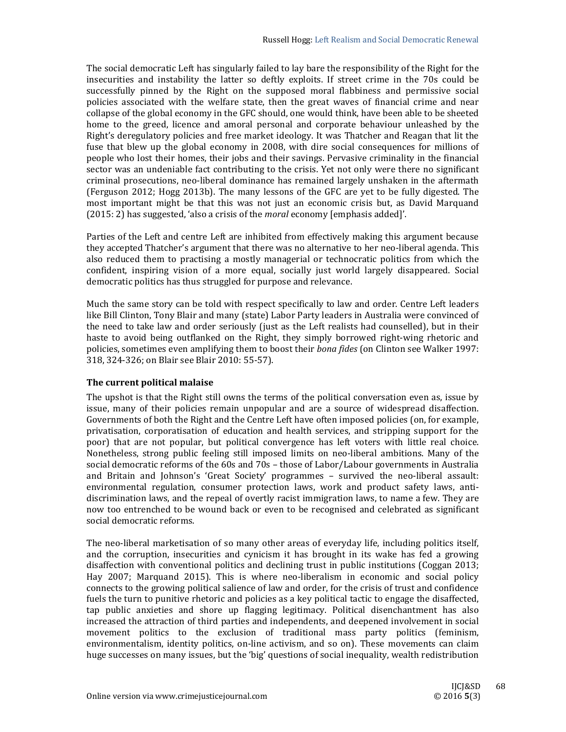The social democratic Left has singularly failed to lay bare the responsibility of the Right for the insecurities and instability the latter so deftly exploits. If street crime in the 70s could be successfully pinned by the Right on the supposed moral flabbiness and permissive social policies associated with the welfare state, then the great waves of financial crime and near collapse of the global economy in the GFC should, one would think, have been able to be sheeted home to the greed, licence and amoral personal and corporate behaviour unleashed by the Right's deregulatory policies and free market ideology. It was Thatcher and Reagan that lit the fuse that blew up the global economy in 2008, with dire social consequences for millions of people who lost their homes, their jobs and their savings. Pervasive criminality in the financial sector was an undeniable fact contributing to the crisis. Yet not only were there no significant criminal prosecutions, neo-liberal dominance has remained largely unshaken in the aftermath (Ferguson 2012; Hogg 2013b). The many lessons of the GFC are yet to be fully digested. The most important might be that this was not just an economic crisis but, as David Marquand (2015: 2) has suggested, 'also a crisis of the *moral* economy [emphasis added]'.

Parties of the Left and centre Left are inhibited from effectively making this argument because they accepted Thatcher's argument that there was no alternative to her neo-liberal agenda. This also reduced them to practising a mostly managerial or technocratic politics from which the confident, inspiring vision of a more equal, socially just world largely disappeared. Social democratic politics has thus struggled for purpose and relevance.

Much the same story can be told with respect specifically to law and order. Centre Left leaders like Bill Clinton, Tony Blair and many (state) Labor Party leaders in Australia were convinced of the need to take law and order seriously (just as the Left realists had counselled), but in their haste to avoid being outflanked on the Right, they simply borrowed right-wing rhetoric and policies, sometimes even amplifying them to boost their *bona fides* (on Clinton see Walker 1997: 318, 324-326; on Blair see Blair 2010: 55-57).

## **The current political malaise**

The upshot is that the Right still owns the terms of the political conversation even as, issue by issue, many of their policies remain unpopular and are a source of widespread disaffection. Governments of both the Right and the Centre Left have often imposed policies (on, for example, privatisation, corporatisation of education and health services, and stripping support for the poor) that are not popular, but political convergence has left voters with little real choice. Nonetheless, strong public feeling still imposed limits on neo-liberal ambitions. Many of the social democratic reforms of the  $60s$  and  $70s$  – those of Labor/Labour governments in Australia and Britain and Johnson's 'Great Society' programmes – survived the neo-liberal assault: environmental regulation, consumer protection laws, work and product safety laws, antidiscrimination laws, and the repeal of overtly racist immigration laws, to name a few. They are now too entrenched to be wound back or even to be recognised and celebrated as significant social democratic reforms.

The neo-liberal marketisation of so many other areas of everyday life, including politics itself, and the corruption, insecurities and cynicism it has brought in its wake has fed a growing disaffection with conventional politics and declining trust in public institutions (Coggan 2013; Hay 2007; Marquand 2015). This is where neo-liberalism in economic and social policy connects to the growing political salience of law and order, for the crisis of trust and confidence fuels the turn to punitive rhetoric and policies as a key political tactic to engage the disaffected, tap public anxieties and shore up flagging legitimacy. Political disenchantment has also increased the attraction of third parties and independents, and deepened involvement in social movement politics to the exclusion of traditional mass party politics (feminism, environmentalism, identity politics, on-line activism, and so on). These movements can claim huge successes on many issues, but the 'big' questions of social inequality, wealth redistribution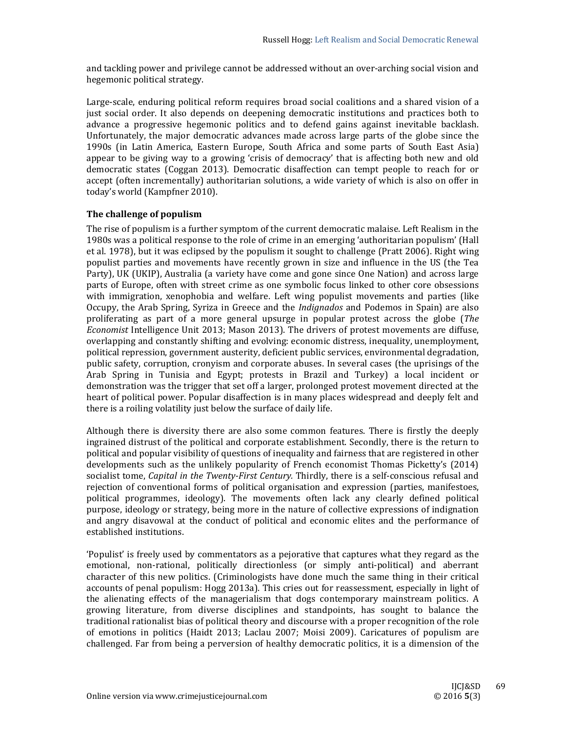and tackling power and privilege cannot be addressed without an over-arching social vision and hegemonic political strategy.

Large-scale, enduring political reform requires broad social coalitions and a shared vision of a just social order. It also depends on deepening democratic institutions and practices both to advance a progressive hegemonic politics and to defend gains against inevitable backlash. Unfortunately, the major democratic advances made across large parts of the globe since the 1990s (in Latin America, Eastern Europe, South Africa and some parts of South East Asia) appear to be giving way to a growing 'crisis of democracy' that is affecting both new and old democratic states (Coggan 2013). Democratic disaffection can tempt people to reach for or accept (often incrementally) authoritarian solutions, a wide variety of which is also on offer in today's world (Kampfner 2010).

## **The challenge of populism**

The rise of populism is a further symptom of the current democratic malaise. Left Realism in the 1980s was a political response to the role of crime in an emerging 'authoritarian populism' (Hall et al. 1978), but it was eclipsed by the populism it sought to challenge (Pratt 2006). Right wing populist parties and movements have recently grown in size and influence in the US (the Tea Party), UK (UKIP), Australia (a variety have come and gone since One Nation) and across large parts of Europe, often with street crime as one symbolic focus linked to other core obsessions with immigration, xenophobia and welfare. Left wing populist movements and parties (like Occupy, the Arab Spring, Syriza in Greece and the *Indignados* and Podemos in Spain) are also proliferating as part of a more general upsurge in popular protest across the globe (*The Economist* Intelligence Unit 2013; Mason 2013). The drivers of protest movements are diffuse, overlapping and constantly shifting and evolving: economic distress, inequality, unemployment, political repression, government austerity, deficient public services, environmental degradation, public safety, corruption, cronyism and corporate abuses. In several cases (the uprisings of the Arab Spring in Tunisia and Egypt; protests in Brazil and Turkey) a local incident or demonstration was the trigger that set off a larger, prolonged protest movement directed at the heart of political power. Popular disaffection is in many places widespread and deeply felt and there is a roiling volatility just below the surface of daily life.

Although there is diversity there are also some common features. There is firstly the deeply ingrained distrust of the political and corporate establishment. Secondly, there is the return to political and popular visibility of questions of inequality and fairness that are registered in other developments such as the unlikely popularity of French economist Thomas Picketty's (2014) socialist tome, *Capital in the Twenty-First Century*. Thirdly, there is a self-conscious refusal and rejection of conventional forms of political organisation and expression (parties, manifestoes, political programmes, ideology). The movements often lack any clearly defined political purpose, ideology or strategy, being more in the nature of collective expressions of indignation and angry disavowal at the conduct of political and economic elites and the performance of established institutions.

'Populist' is freely used by commentators as a pejorative that captures what they regard as the emotional, non-rational, politically directionless (or simply anti-political) and aberrant character of this new politics. (Criminologists have done much the same thing in their critical accounts of penal populism: Hogg 2013a). This cries out for reassessment, especially in light of the alienating effects of the managerialism that dogs contemporary mainstream politics. A growing literature, from diverse disciplines and standpoints, has sought to balance the traditional rationalist bias of political theory and discourse with a proper recognition of the role of emotions in politics (Haidt 2013; Laclau 2007; Moisi 2009). Caricatures of populism are challenged. Far from being a perversion of healthy democratic politics, it is a dimension of the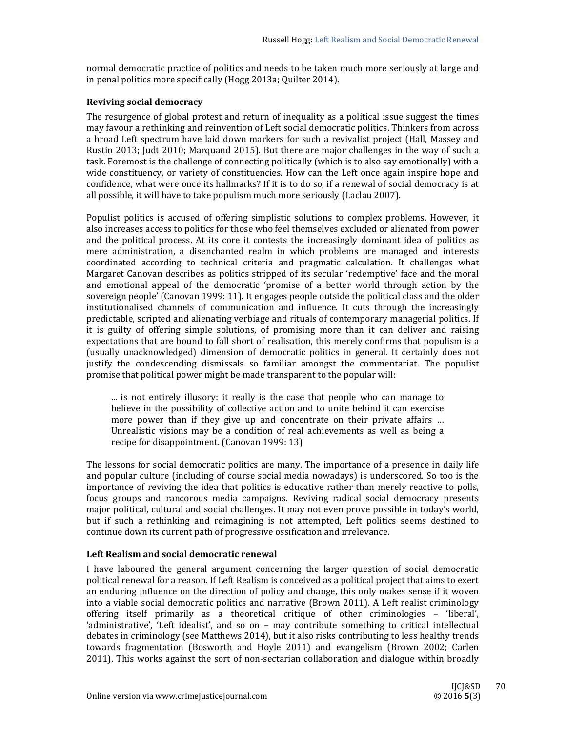normal democratic practice of politics and needs to be taken much more seriously at large and in penal politics more specifically (Hogg 2013a; Quilter 2014).

## **Reviving social democracy**

The resurgence of global protest and return of inequality as a political issue suggest the times may favour a rethinking and reinvention of Left social democratic politics. Thinkers from across a broad Left spectrum have laid down markers for such a revivalist project (Hall, Massey and Rustin 2013; Judt 2010; Marquand 2015). But there are major challenges in the way of such a task. Foremost is the challenge of connecting politically (which is to also say emotionally) with a wide constituency, or variety of constituencies. How can the Left once again inspire hope and confidence, what were once its hallmarks? If it is to do so, if a renewal of social democracy is at all possible, it will have to take populism much more seriously (Laclau 2007).

Populist politics is accused of offering simplistic solutions to complex problems. However, it also increases access to politics for those who feel themselves excluded or alienated from power and the political process. At its core it contests the increasingly dominant idea of politics as mere administration, a disenchanted realm in which problems are managed and interests coordinated according to technical criteria and pragmatic calculation. It challenges what Margaret Canovan describes as politics stripped of its secular 'redemptive' face and the moral and emotional appeal of the democratic 'promise of a better world through action by the sovereign people' (Canovan 1999: 11). It engages people outside the political class and the older institutionalised channels of communication and influence. It cuts through the increasingly predictable, scripted and alienating verbiage and rituals of contemporary managerial politics. If it is guilty of offering simple solutions, of promising more than it can deliver and raising expectations that are bound to fall short of realisation, this merely confirms that populism is a (usually unacknowledged) dimension of democratic politics in general. It certainly does not justify the condescending dismissals so familiar amongst the commentariat. The populist promise that political power might be made transparent to the popular will:

... is not entirely illusory: it really is the case that people who can manage to believe in the possibility of collective action and to unite behind it can exercise more power than if they give up and concentrate on their private affairs ... Unrealistic visions may be a condition of real achievements as well as being a recipe for disappointment. (Canovan 1999: 13)

The lessons for social democratic politics are many. The importance of a presence in daily life and popular culture (including of course social media nowadays) is underscored. So too is the importance of reviving the idea that politics is educative rather than merely reactive to polls, focus groups and rancorous media campaigns. Reviving radical social democracy presents major political, cultural and social challenges. It may not even prove possible in today's world, but if such a rethinking and reimagining is not attempted, Left politics seems destined to continue down its current path of progressive ossification and irrelevance.

# **Left Realism and social democratic renewal**

I have laboured the general argument concerning the larger question of social democratic political renewal for a reason. If Left Realism is conceived as a political project that aims to exert an enduring influence on the direction of policy and change, this only makes sense if it woven into a viable social democratic politics and narrative  $(Brown 2011)$ . A Left realist criminology offering itself primarily as a theoretical critique of other criminologies - 'liberal', 'administrative', 'Left idealist', and so on - may contribute something to critical intellectual debates in criminology (see Matthews 2014), but it also risks contributing to less healthy trends towards fragmentation (Bosworth and Hoyle 2011) and evangelism (Brown 2002; Carlen 2011). This works against the sort of non-sectarian collaboration and dialogue within broadly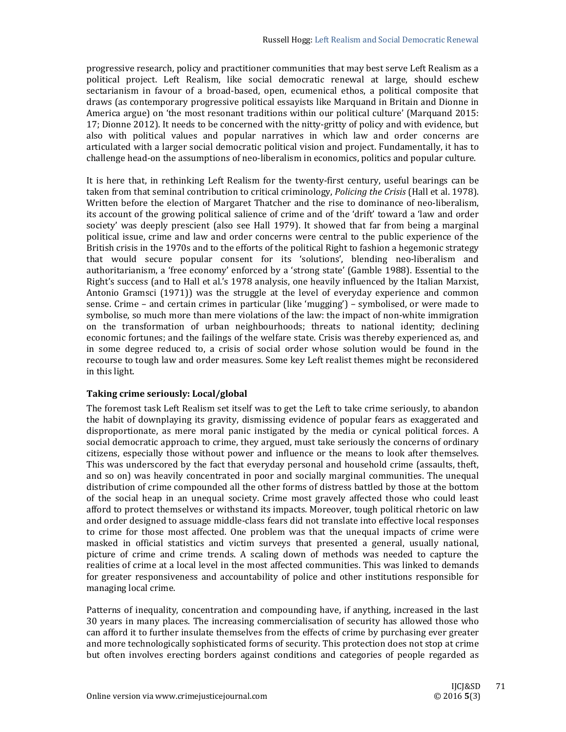progressive research, policy and practitioner communities that may best serve Left Realism as a political project. Left Realism, like social democratic renewal at large, should eschew sectarianism in favour of a broad-based, open, ecumenical ethos, a political composite that draws (as contemporary progressive political essayists like Marquand in Britain and Dionne in America argue) on 'the most resonant traditions within our political culture' (Marquand 2015: 17; Dionne 2012). It needs to be concerned with the nitty-gritty of policy and with evidence, but also with political values and popular narratives in which law and order concerns are articulated with a larger social democratic political vision and project. Fundamentally, it has to challenge head-on the assumptions of neo-liberalism in economics, politics and popular culture.

It is here that, in rethinking Left Realism for the twenty-first century, useful bearings can be taken from that seminal contribution to critical criminology, *Policing the Crisis* (Hall et al. 1978). Written before the election of Margaret Thatcher and the rise to dominance of neo-liberalism, its account of the growing political salience of crime and of the 'drift' toward a 'law and order society' was deeply prescient (also see Hall 1979). It showed that far from being a marginal political issue, crime and law and order concerns were central to the public experience of the British crisis in the 1970s and to the efforts of the political Right to fashion a hegemonic strategy that would secure popular consent for its 'solutions', blending neo-liberalism and authoritarianism, a 'free economy' enforced by a 'strong state' (Gamble 1988). Essential to the Right's success (and to Hall et al.'s 1978 analysis, one heavily influenced by the Italian Marxist, Antonio Gramsci  $(1971)$  was the struggle at the level of everyday experience and common sense. Crime – and certain crimes in particular (like 'mugging') – symbolised, or were made to symbolise, so much more than mere violations of the law: the impact of non-white immigration on the transformation of urban neighbourhoods; threats to national identity; declining economic fortunes; and the failings of the welfare state. Crisis was thereby experienced as, and in some degree reduced to, a crisis of social order whose solution would be found in the recourse to tough law and order measures. Some key Left realist themes might be reconsidered in this light.

## **Taking crime seriously: Local/global**

The foremost task Left Realism set itself was to get the Left to take crime seriously, to abandon the habit of downplaying its gravity, dismissing evidence of popular fears as exaggerated and disproportionate, as mere moral panic instigated by the media or cynical political forces. A social democratic approach to crime, they argued, must take seriously the concerns of ordinary citizens, especially those without power and influence or the means to look after themselves. This was underscored by the fact that everyday personal and household crime (assaults, theft, and so on) was heavily concentrated in poor and socially marginal communities. The unequal distribution of crime compounded all the other forms of distress battled by those at the bottom of the social heap in an unequal society. Crime most gravely affected those who could least afford to protect themselves or withstand its impacts. Moreover, tough political rhetoric on law and order designed to assuage middle-class fears did not translate into effective local responses to crime for those most affected. One problem was that the unequal impacts of crime were masked in official statistics and victim surveys that presented a general, usually national, picture of crime and crime trends. A scaling down of methods was needed to capture the realities of crime at a local level in the most affected communities. This was linked to demands for greater responsiveness and accountability of police and other institutions responsible for managing local crime.

Patterns of inequality, concentration and compounding have, if anything, increased in the last 30 years in many places. The increasing commercialisation of security has allowed those who can afford it to further insulate themselves from the effects of crime by purchasing ever greater and more technologically sophisticated forms of security. This protection does not stop at crime but often involves erecting borders against conditions and categories of people regarded as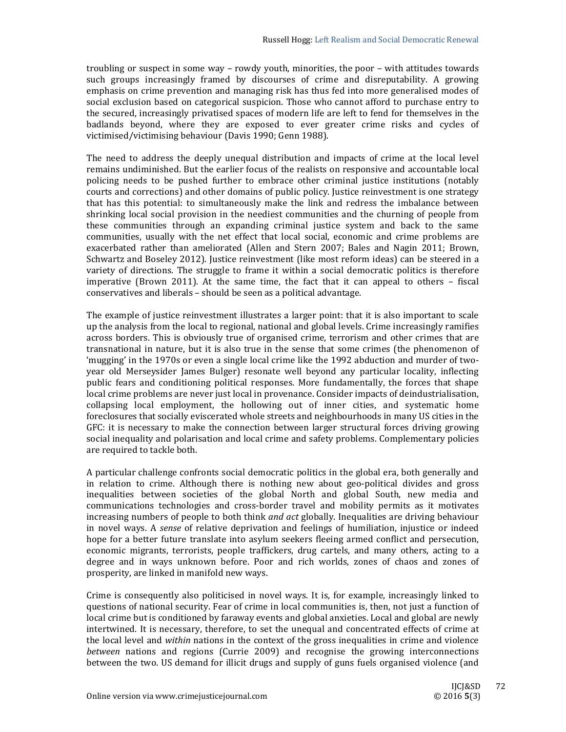troubling or suspect in some way – rowdy youth, minorities, the poor – with attitudes towards such groups increasingly framed by discourses of crime and disreputability. A growing emphasis on crime prevention and managing risk has thus fed into more generalised modes of social exclusion based on categorical suspicion. Those who cannot afford to purchase entry to the secured, increasingly privatised spaces of modern life are left to fend for themselves in the badlands beyond, where they are exposed to ever greater crime risks and cycles of victimised/victimising behaviour (Davis 1990; Genn 1988).

The need to address the deeply unequal distribution and impacts of crime at the local level remains undiminished. But the earlier focus of the realists on responsive and accountable local policing needs to be pushed further to embrace other criminal justice institutions (notably courts and corrections) and other domains of public policy. Justice reinvestment is one strategy that has this potential: to simultaneously make the link and redress the imbalance between shrinking local social provision in the neediest communities and the churning of people from these communities through an expanding criminal justice system and back to the same communities, usually with the net effect that local social, economic and crime problems are exacerbated rather than ameliorated (Allen and Stern 2007; Bales and Nagin 2011; Brown, Schwartz and Boseley 2012). Justice reinvestment (like most reform ideas) can be steered in a variety of directions. The struggle to frame it within a social democratic politics is therefore imperative (Brown 2011). At the same time, the fact that it can appeal to others  $-$  fiscal conservatives and liberals – should be seen as a political advantage.

The example of justice reinvestment illustrates a larger point: that it is also important to scale up the analysis from the local to regional, national and global levels. Crime increasingly ramifies across borders. This is obviously true of organised crime, terrorism and other crimes that are transnational in nature, but it is also true in the sense that some crimes (the phenomenon of 'mugging' in the 1970s or even a single local crime like the 1992 abduction and murder of twoyear old Merseysider James Bulger) resonate well beyond any particular locality, inflecting public fears and conditioning political responses. More fundamentally, the forces that shape local crime problems are never just local in provenance. Consider impacts of deindustrialisation, collapsing local employment, the hollowing out of inner cities, and systematic home foreclosures that socially eviscerated whole streets and neighbourhoods in many US cities in the GFC: it is necessary to make the connection between larger structural forces driving growing social inequality and polarisation and local crime and safety problems. Complementary policies are required to tackle both.

A particular challenge confronts social democratic politics in the global era, both generally and in relation to crime. Although there is nothing new about geo-political divides and gross inequalities between societies of the global North and global South, new media and communications technologies and cross-border travel and mobility permits as it motivates increasing numbers of people to both think *and act* globally. Inequalities are driving behaviour in novel ways. A *sense* of relative deprivation and feelings of humiliation, injustice or indeed hope for a better future translate into asylum seekers fleeing armed conflict and persecution, economic migrants, terrorists, people traffickers, drug cartels, and many others, acting to a degree and in ways unknown before. Poor and rich worlds, zones of chaos and zones of prosperity, are linked in manifold new ways.

Crime is consequently also politicised in novel ways. It is, for example, increasingly linked to questions of national security. Fear of crime in local communities is, then, not just a function of local crime but is conditioned by faraway events and global anxieties. Local and global are newly intertwined. It is necessary, therefore, to set the unequal and concentrated effects of crime at the local level and *within* nations in the context of the gross inequalities in crime and violence *between* nations and regions (Currie 2009) and recognise the growing interconnections between the two. US demand for illicit drugs and supply of guns fuels organised violence (and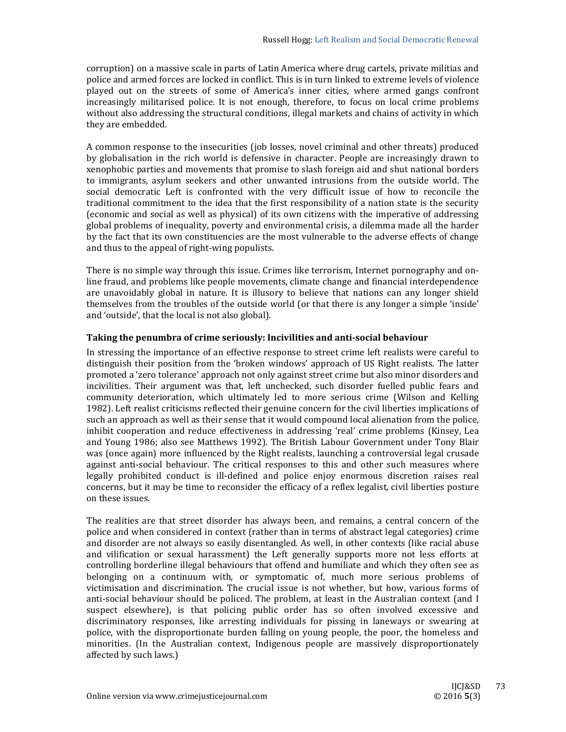corruption) on a massive scale in parts of Latin America where drug cartels, private militias and police and armed forces are locked in conflict. This is in turn linked to extreme levels of violence played out on the streets of some of America's inner cities, where armed gangs confront increasingly militarised police. It is not enough, therefore, to focus on local crime problems without also addressing the structural conditions, illegal markets and chains of activity in which they are embedded.

A common response to the insecurities (job losses, novel criminal and other threats) produced by globalisation in the rich world is defensive in character. People are increasingly drawn to xenophobic parties and movements that promise to slash foreign aid and shut national borders to immigrants, asylum seekers and other unwanted intrusions from the outside world. The social democratic Left is confronted with the very difficult issue of how to reconcile the traditional commitment to the idea that the first responsibility of a nation state is the security (economic and social as well as physical) of its own citizens with the imperative of addressing global problems of inequality, poverty and environmental crisis, a dilemma made all the harder by the fact that its own constituencies are the most vulnerable to the adverse effects of change and thus to the appeal of right-wing populists.

There is no simple way through this issue. Crimes like terrorism, Internet pornography and online fraud, and problems like people movements, climate change and financial interdependence are unavoidably global in nature. It is illusory to believe that nations can any longer shield themselves from the troubles of the outside world (or that there is any longer a simple 'inside' and 'outside', that the local is not also global).

## **Taking the penumbra of crime seriously: Incivilities and anti‐social behaviour**

In stressing the importance of an effective response to street crime left realists were careful to distinguish their position from the 'broken windows' approach of US Right realists. The latter promoted a 'zero tolerance' approach not only against street crime but also minor disorders and incivilities. Their argument was that, left unchecked, such disorder fuelled public fears and community deterioration, which ultimately led to more serious crime (Wilson and Kelling 1982). Left realist criticisms reflected their genuine concern for the civil liberties implications of such an approach as well as their sense that it would compound local alienation from the police, inhibit cooperation and reduce effectiveness in addressing 'real' crime problems (Kinsey, Lea and Young 1986; also see Matthews 1992). The British Labour Government under Tony Blair was (once again) more influenced by the Right realists, launching a controversial legal crusade against anti-social behaviour. The critical responses to this and other such measures where legally prohibited conduct is ill-defined and police enjoy enormous discretion raises real concerns, but it may be time to reconsider the efficacy of a reflex legalist, civil liberties posture on these issues.

The realities are that street disorder has always been, and remains, a central concern of the police and when considered in context (rather than in terms of abstract legal categories) crime and disorder are not always so easily disentangled. As well, in other contexts (like racial abuse and vilification or sexual harassment) the Left generally supports more not less efforts at controlling borderline illegal behaviours that offend and humiliate and which they often see as belonging on a continuum with, or symptomatic of, much more serious problems of victimisation and discrimination. The crucial issue is not whether, but how, various forms of anti-social behaviour should be policed. The problem, at least in the Australian context (and I suspect elsewhere), is that policing public order has so often involved excessive and discriminatory responses, like arresting individuals for pissing in laneways or swearing at police, with the disproportionate burden falling on young people, the poor, the homeless and minorities. (In the Australian context, Indigenous people are massively disproportionately affected by such laws.)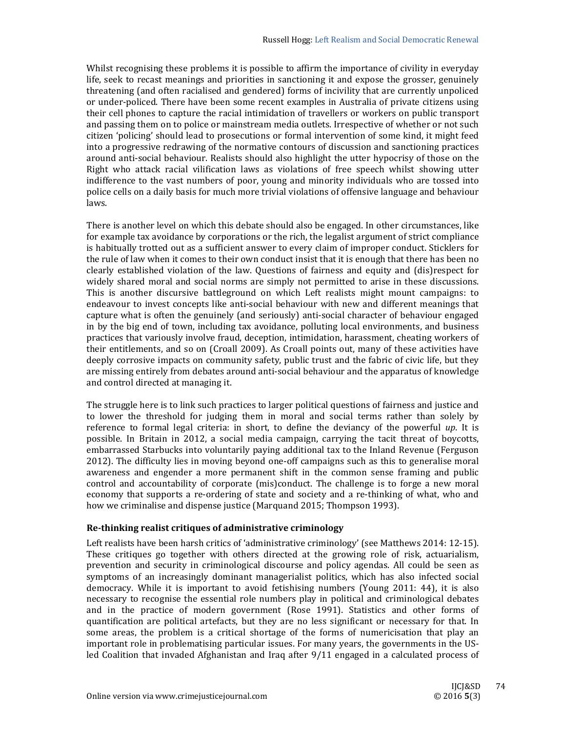Whilst recognising these problems it is possible to affirm the importance of civility in everyday life, seek to recast meanings and priorities in sanctioning it and expose the grosser, genuinely threatening (and often racialised and gendered) forms of incivility that are currently unpoliced or under-policed. There have been some recent examples in Australia of private citizens using their cell phones to capture the racial intimidation of travellers or workers on public transport and passing them on to police or mainstream media outlets. Irrespective of whether or not such citizen 'policing' should lead to prosecutions or formal intervention of some kind, it might feed into a progressive redrawing of the normative contours of discussion and sanctioning practices around anti-social behaviour. Realists should also highlight the utter hypocrisy of those on the Right who attack racial vilification laws as violations of free speech whilst showing utter indifference to the vast numbers of poor, young and minority individuals who are tossed into police cells on a daily basis for much more trivial violations of offensive language and behaviour laws. 

There is another level on which this debate should also be engaged. In other circumstances, like for example tax avoidance by corporations or the rich, the legalist argument of strict compliance is habitually trotted out as a sufficient answer to every claim of improper conduct. Sticklers for the rule of law when it comes to their own conduct insist that it is enough that there has been no clearly established violation of the law. Questions of fairness and equity and (dis)respect for widely shared moral and social norms are simply not permitted to arise in these discussions. This is another discursive battleground on which Left realists might mount campaigns: to endeavour to invest concepts like anti-social behaviour with new and different meanings that capture what is often the genuinely (and seriously) anti-social character of behaviour engaged in by the big end of town, including tax avoidance, polluting local environments, and business practices that variously involve fraud, deception, intimidation, harassment, cheating workers of their entitlements, and so on (Croall 2009). As Croall points out, many of these activities have deeply corrosive impacts on community safety, public trust and the fabric of civic life, but they are missing entirely from debates around anti-social behaviour and the apparatus of knowledge and control directed at managing it.

The struggle here is to link such practices to larger political questions of fairness and justice and to lower the threshold for judging them in moral and social terms rather than solely by reference to formal legal criteria: in short, to define the deviancy of the powerful  $up$ . It is possible. In Britain in 2012, a social media campaign, carrying the tacit threat of boycotts, embarrassed Starbucks into voluntarily paying additional tax to the Inland Revenue (Ferguson 2012). The difficulty lies in moving beyond one-off campaigns such as this to generalise moral awareness and engender a more permanent shift in the common sense framing and public control and accountability of corporate (mis)conduct. The challenge is to forge a new moral economy that supports a re-ordering of state and society and a re-thinking of what, who and how we criminalise and dispense justice (Marquand 2015; Thompson 1993).

## **Re‐thinking realist critiques of administrative criminology**

Left realists have been harsh critics of 'administrative criminology' (see Matthews 2014: 12-15). These critiques go together with others directed at the growing role of risk, actuarialism, prevention and security in criminological discourse and policy agendas. All could be seen as symptoms of an increasingly dominant managerialist politics, which has also infected social democracy. While it is important to avoid fetishising numbers (Young 2011: 44), it is also necessary to recognise the essential role numbers play in political and criminological debates and in the practice of modern government (Rose 1991). Statistics and other forms of quantification are political artefacts, but they are no less significant or necessary for that. In some areas, the problem is a critical shortage of the forms of numericisation that play an important role in problematising particular issues. For many years, the governments in the USled Coalition that invaded Afghanistan and Iraq after 9/11 engaged in a calculated process of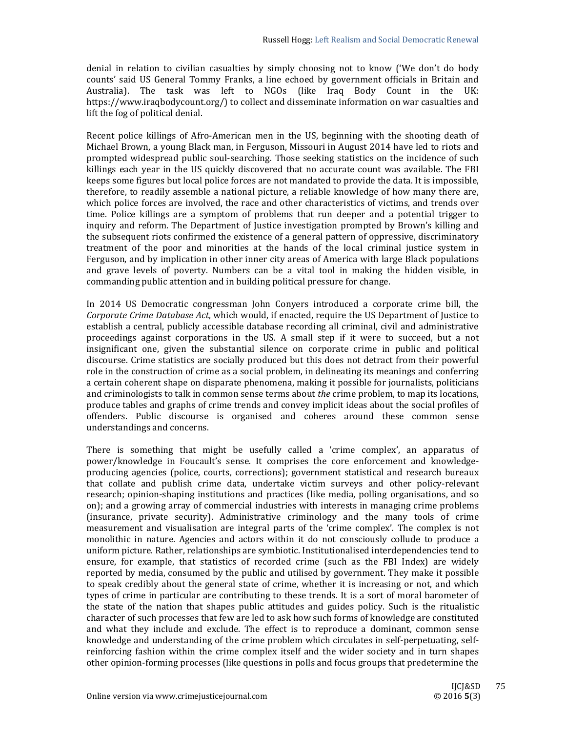denial in relation to civilian casualties by simply choosing not to know ('We don't do body counts' said US General Tommy Franks, a line echoed by government officials in Britain and Australia). The task was left to NGOs (like Iraq Body Count in the UK: https://www.iraqbodycount.org/) to collect and disseminate information on war casualties and lift the fog of political denial.

Recent police killings of Afro-American men in the US, beginning with the shooting death of Michael Brown, a young Black man, in Ferguson, Missouri in August 2014 have led to riots and prompted widespread public soul-searching. Those seeking statistics on the incidence of such killings each year in the US quickly discovered that no accurate count was available. The FBI keeps some figures but local police forces are not mandated to provide the data. It is impossible, therefore, to readily assemble a national picture, a reliable knowledge of how many there are, which police forces are involved, the race and other characteristics of victims, and trends over time. Police killings are a symptom of problems that run deeper and a potential trigger to inquiry and reform. The Department of Justice investigation prompted by Brown's killing and the subsequent riots confirmed the existence of a general pattern of oppressive, discriminatory treatment of the poor and minorities at the hands of the local criminal justice system in Ferguson, and by implication in other inner city areas of America with large Black populations and grave levels of poverty. Numbers can be a vital tool in making the hidden visible, in commanding public attention and in building political pressure for change.

In 2014 US Democratic congressman John Conyers introduced a corporate crime bill, the *Corporate Crime Database Act*, which would, if enacted, require the US Department of Justice to establish a central, publicly accessible database recording all criminal, civil and administrative proceedings against corporations in the US. A small step if it were to succeed, but a not insignificant one, given the substantial silence on corporate crime in public and political discourse. Crime statistics are socially produced but this does not detract from their powerful role in the construction of crime as a social problem, in delineating its meanings and conferring a certain coherent shape on disparate phenomena, making it possible for journalists, politicians and criminologists to talk in common sense terms about *the* crime problem, to map its locations, produce tables and graphs of crime trends and convey implicit ideas about the social profiles of offenders. Public discourse is organised and coheres around these common sense understandings and concerns.

There is something that might be usefully called a 'crime complex', an apparatus of power/knowledge in Foucault's sense. It comprises the core enforcement and knowledgeproducing agencies (police, courts, corrections); government statistical and research bureaux that collate and publish crime data, undertake victim surveys and other policy-relevant research; opinion-shaping institutions and practices (like media, polling organisations, and so on); and a growing array of commercial industries with interests in managing crime problems (insurance, private security). Administrative criminology and the many tools of crime measurement and visualisation are integral parts of the 'crime complex'. The complex is not monolithic in nature. Agencies and actors within it do not consciously collude to produce a uniform picture. Rather, relationships are symbiotic. Institutionalised interdependencies tend to ensure, for example, that statistics of recorded crime (such as the FBI Index) are widely reported by media, consumed by the public and utilised by government. They make it possible to speak credibly about the general state of crime, whether it is increasing or not, and which types of crime in particular are contributing to these trends. It is a sort of moral barometer of the state of the nation that shapes public attitudes and guides policy. Such is the ritualistic character of such processes that few are led to ask how such forms of knowledge are constituted and what they include and exclude. The effect is to reproduce a dominant, common sense knowledge and understanding of the crime problem which circulates in self-perpetuating, selfreinforcing fashion within the crime complex itself and the wider society and in turn shapes other opinion-forming processes (like questions in polls and focus groups that predetermine the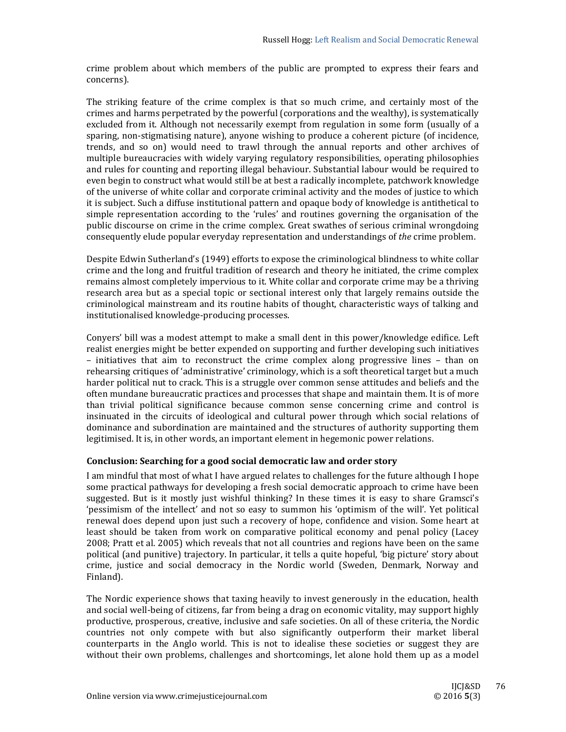crime problem about which members of the public are prompted to express their fears and concerns). 

The striking feature of the crime complex is that so much crime, and certainly most of the crimes and harms perpetrated by the powerful (corporations and the wealthy), is systematically excluded from it. Although not necessarily exempt from regulation in some form (usually of a sparing, non-stigmatising nature), anyone wishing to produce a coherent picture (of incidence, trends, and so on) would need to trawl through the annual reports and other archives of multiple bureaucracies with widely varying regulatory responsibilities, operating philosophies and rules for counting and reporting illegal behaviour. Substantial labour would be required to even begin to construct what would still be at best a radically incomplete, patchwork knowledge of the universe of white collar and corporate criminal activity and the modes of justice to which it is subject. Such a diffuse institutional pattern and opaque body of knowledge is antithetical to simple representation according to the 'rules' and routines governing the organisation of the public discourse on crime in the crime complex. Great swathes of serious criminal wrongdoing consequently elude popular everyday representation and understandings of *the* crime problem.

Despite Edwin Sutherland's (1949) efforts to expose the criminological blindness to white collar crime and the long and fruitful tradition of research and theory he initiated, the crime complex remains almost completely impervious to it. White collar and corporate crime may be a thriving research area but as a special topic or sectional interest only that largely remains outside the criminological mainstream and its routine habits of thought, characteristic ways of talking and institutionalised knowledge-producing processes.

Conyers' bill was a modest attempt to make a small dent in this power/knowledge edifice. Left realist energies might be better expended on supporting and further developing such initiatives – initiatives that aim to reconstruct the crime complex along progressive lines – than on rehearsing critiques of 'administrative' criminology, which is a soft theoretical target but a much harder political nut to crack. This is a struggle over common sense attitudes and beliefs and the often mundane bureaucratic practices and processes that shape and maintain them. It is of more than trivial political significance because common sense concerning crime and control is insinuated in the circuits of ideological and cultural power through which social relations of dominance and subordination are maintained and the structures of authority supporting them legitimised. It is, in other words, an important element in hegemonic power relations.

## **Conclusion: Searching for a good social democratic law and order story**

I am mindful that most of what I have argued relates to challenges for the future although I hope some practical pathways for developing a fresh social democratic approach to crime have been suggested. But is it mostly just wishful thinking? In these times it is easy to share Gramsci's 'pessimism of the intellect' and not so easy to summon his 'optimism of the will'. Yet political renewal does depend upon just such a recovery of hope, confidence and vision. Some heart at least should be taken from work on comparative political economy and penal policy (Lacey 2008; Pratt et al. 2005) which reveals that not all countries and regions have been on the same political (and punitive) trajectory. In particular, it tells a quite hopeful, 'big picture' story about crime, justice and social democracy in the Nordic world (Sweden, Denmark, Norway and Finland). 

The Nordic experience shows that taxing heavily to invest generously in the education, health and social well-being of citizens, far from being a drag on economic vitality, may support highly productive, prosperous, creative, inclusive and safe societies. On all of these criteria, the Nordic countries not only compete with but also significantly outperform their market liberal counterparts in the Anglo world. This is not to idealise these societies or suggest they are without their own problems, challenges and shortcomings, let alone hold them up as a model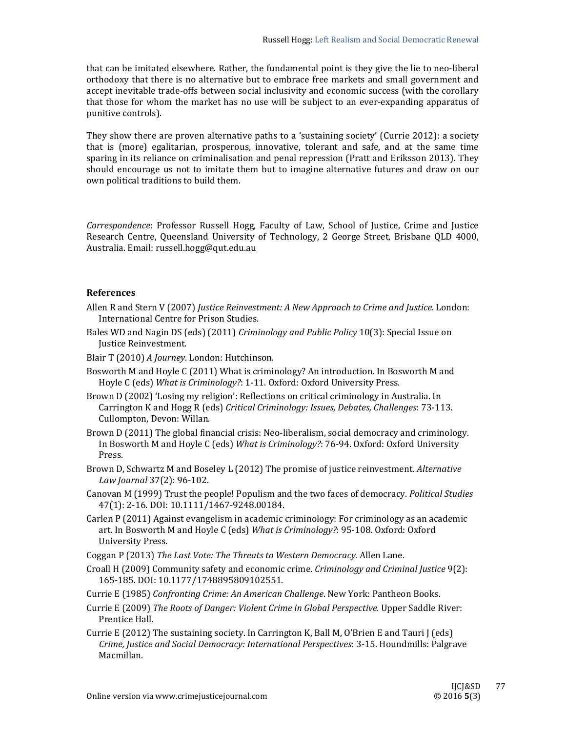that can be imitated elsewhere. Rather, the fundamental point is they give the lie to neo-liberal orthodoxy that there is no alternative but to embrace free markets and small government and accept inevitable trade-offs between social inclusivity and economic success (with the corollary that those for whom the market has no use will be subject to an ever-expanding apparatus of punitive controls).

They show there are proven alternative paths to a 'sustaining society' (Currie 2012): a society that is (more) egalitarian, prosperous, innovative, tolerant and safe, and at the same time sparing in its reliance on criminalisation and penal repression (Pratt and Eriksson 2013). They should encourage us not to imitate them but to imagine alternative futures and draw on our own political traditions to build them.

*Correspondence*: Professor Russell Hogg, Faculty of Law, School of Justice, Crime and Justice Research Centre, Queensland University of Technology, 2 George Street, Brisbane QLD 4000, Australia. Email: russell.hogg@qut.edu.au

## **References**

- Allen R and Stern V (2007) *Justice Reinvestment: A New Approach to Crime and Justice*. London: International Centre for Prison Studies.
- Bales WD and Nagin DS (eds) (2011) *Criminology and Public Policy* 10(3): Special Issue on Justice Reinvestment.
- Blair T (2010) *A Journey*. London: Hutchinson.
- Bosworth M and Hoyle C (2011) What is criminology? An introduction. In Bosworth M and Hoyle C (eds) What is *Criminology*?: 1-11. Oxford: Oxford University Press.
- Brown D (2002) 'Losing my religion': Reflections on critical criminology in Australia. In Carrington K and Hogg R (eds) *Critical Criminology: Issues, Debates, Challenges*: 73‐113. Cullompton, Devon: Willan.
- Brown D (2011) The global financial crisis: Neo-liberalism, social democracy and criminology. In Bosworth M and Hoyle C (eds) *What is Criminology?*: 76-94. Oxford: Oxford University Press.
- Brown D, Schwartz M and Boseley L (2012) The promise of justice reinvestment. *Alternative Law Journal* 37(2): 96‐102.
- Canovan M (1999) Trust the people! Populism and the two faces of democracy. *Political Studies* 47(1): 2-16. DOI: 10.1111/1467-9248.00184.
- Carlen P (2011) Against evangelism in academic criminology: For criminology as an academic art. In Bosworth M and Hoyle C (eds) What is *Criminology*?: 95-108. Oxford: Oxford University Press.
- Coggan P (2013) *The Last Vote: The Threats to Western Democracy.* Allen Lane.
- Croall H (2009) Community safety and economic crime. *Criminology and Criminal Justice* 9(2): 165‐185. DOI: 10.1177/1748895809102551.
- Currie E (1985) *Confronting Crime: An American Challenge*. New York: Pantheon Books.
- Currie E (2009) *The Roots of Danger: Violent Crime in Global Perspective.* Upper Saddle River: Prentice Hall.
- Currie E (2012) The sustaining society. In Carrington K, Ball M, O'Brien E and Tauri J (eds) *Crime, Justice and Social Democracy: International Perspectives*: 3‐15. Houndmills: Palgrave Macmillan.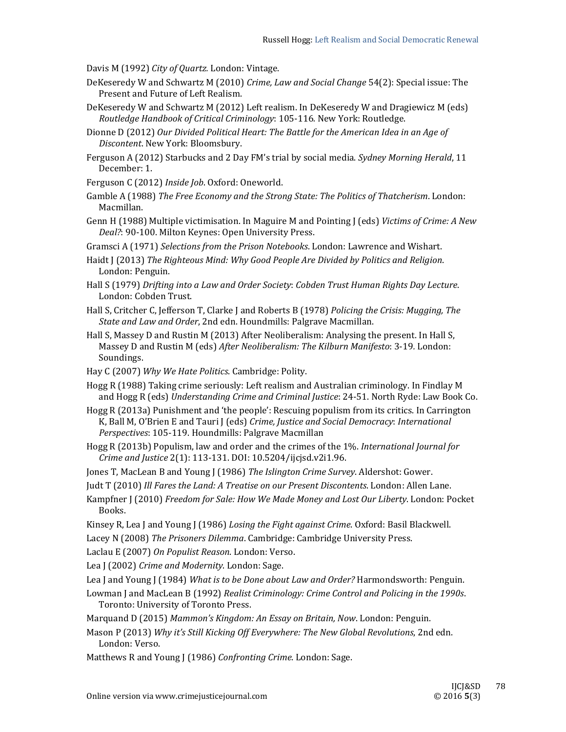Davis M (1992) *City of Quartz*. London: Vintage.

- DeKeseredy W and Schwartz M (2010) *Crime, Law and Social Change* 54(2): Special issue: The Present and Future of Left Realism.
- DeKeseredy W and Schwartz M (2012) Left realism. In DeKeseredy W and Dragiewicz M (eds) *Routledge Handbook of Critical Criminology*: 105‐116*.* New York: Routledge.
- Dionne D (2012) *Our Divided Political Heart: The Battle for the American Idea in an Age of Discontent*. New York: Bloomsbury.
- Ferguson A (2012) Starbucks and 2 Day FM's trial by social media. Sydney Morning Herald, 11 December: 1.
- Ferguson C (2012) Inside Job. Oxford: Oneworld.
- Gamble A (1988) *The Free Economy and the Strong State: The Politics of Thatcherism*. London: Macmillan.
- Genn H (1988) Multiple victimisation. In Maguire M and Pointing J (eds) *Victims of Crime: A New* Deal?: 90-100. Milton Keynes: Open University Press.
- Gramsci A (1971) *Selections from the Prison Notebooks*. London: Lawrence and Wishart.
- Haidt J (2013) *The Righteous Mind: Why Good People Are Divided by Politics and Religion*. London: Penguin.
- Hall S (1979) *Drifting into a Law and Order Society*: *Cobden Trust Human Rights Day Lecture*. London: Cobden Trust.
- Hall S, Critcher C, Jefferson T, Clarke J and Roberts B (1978) *Policing the Crisis: Mugging, The State and Law and Order*, 2nd edn. Houndmills: Palgrave Macmillan.
- Hall S, Massey D and Rustin M (2013) After Neoliberalism: Analysing the present. In Hall S, Massey D and Rustin M (eds) *After Neoliberalism: The Kilburn Manifesto*: 3‐19*.* London: Soundings.
- Hay C (2007) Why We Hate Politics. Cambridge: Polity.
- Hogg R (1988) Taking crime seriously: Left realism and Australian criminology. In Findlay M and Hogg R (eds) *Understanding Crime and Criminal Justice*: 24-51. North Ryde: Law Book Co.
- Hogg R (2013a) Punishment and 'the people': Rescuing populism from its critics. In Carrington K, Ball M, O'Brien E and Tauri J (eds) *Crime, Justice and Social Democracy*: *International Perspectives*: 105-119. Houndmills: Palgrave Macmillan
- Hogg R (2013b) Populism, law and order and the crimes of the 1%. *International Journal for Crime and Justice* 2(1): 113‐131. DOI: 10.5204/ijcjsd.v2i1.96.
- Jones T, MacLean B and Young J (1986) *The Islington Crime Survey*. Aldershot: Gower.
- Judt T (2010) *Ill Fares the Land: A Treatise on our Present Discontents*. London: Allen Lane.
- Kampfner J (2010) *Freedom for Sale: How We Made Money and Lost Our Liberty*. London: Pocket Books.
- Kinsey R, Lea J and Young J (1986) *Losing the Fight against Crime*. Oxford: Basil Blackwell.
- Lacey N (2008) The Prisoners Dilemma. Cambridge: Cambridge University Press.

Laclau E (2007) On Populist Reason. London: Verso.

- Lea J (2002) *Crime and Modernity*. London: Sage.
- Lea J and Young J (1984) What is to be Done about Law and Order? Harmondsworth: Penguin.
- Lowman J and MacLean B (1992) *Realist Criminology: Crime Control and Policing in the 1990s*. Toronto: University of Toronto Press.
- Marquand D (2015) *Mammon's Kingdom: An Essay on Britain, Now*. London: Penguin.
- Mason P (2013) *Why it's Still Kicking Off Everywhere: The New Global Revolutions*, 2nd edn. London: Verso.
- Matthews R and Young J (1986) *Confronting Crime*. London: Sage.